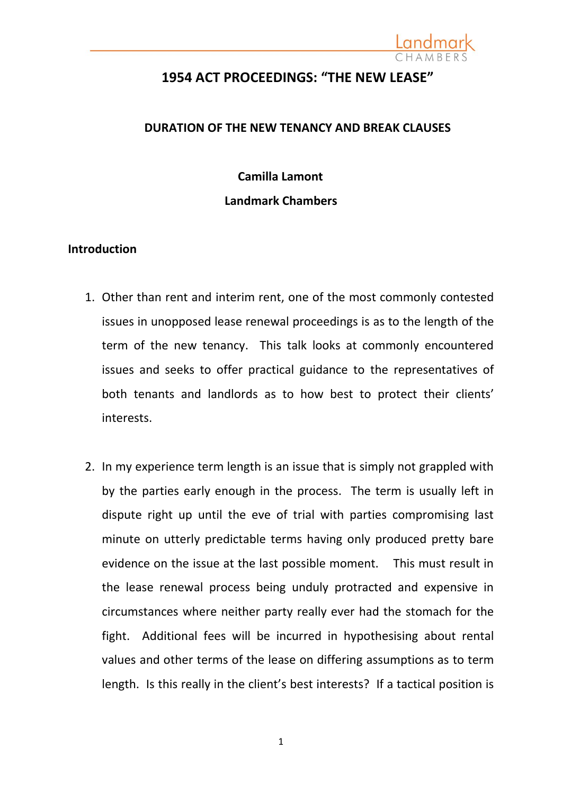

### **1954 ACT PROCEEDINGS: "THE NEW LEASE"**

### **DURATION OF THE NEW TENANCY AND BREAK CLAUSES**

## **Camilla Lamont Landmark Chambers**

### **Introduction**

- 1. Other than rent and interim rent, one of the most commonly contested issues in unopposed lease renewal proceedings is as to the length of the term of the new tenancy. This talk looks at commonly encountered issues and seeks to offer practical guidance to the representatives of both tenants and landlords as to how best to protect their clients' interests.
- 2. In my experience term length is an issue that is simply not grappled with by the parties early enough in the process. The term is usually left in dispute right up until the eve of trial with parties compromising last minute on utterly predictable terms having only produced pretty bare evidence on the issue at the last possible moment. This must result in the lease renewal process being unduly protracted and expensive in circumstances where neither party really ever had the stomach for the fight. Additional fees will be incurred in hypothesising about rental values and other terms of the lease on differing assumptions as to term length. Is this really in the client's best interests? If a tactical position is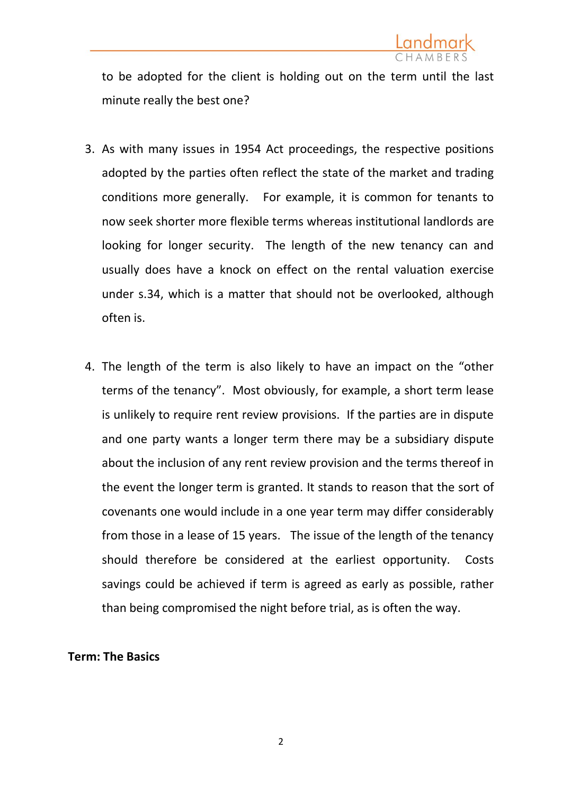

to be adopted for the client is holding out on the term until the last minute really the best one?

- 3. As with many issues in 1954 Act proceedings, the respective positions adopted by the parties often reflect the state of the market and trading conditions more generally. For example, it is common for tenants to now seek shorter more flexible terms whereas institutional landlords are looking for longer security. The length of the new tenancy can and usually does have a knock on effect on the rental valuation exercise under s.34, which is a matter that should not be overlooked, although often is.
- 4. The length of the term is also likely to have an impact on the "other terms of the tenancy". Most obviously, for example, a short term lease is unlikely to require rent review provisions. If the parties are in dispute and one party wants a longer term there may be a subsidiary dispute about the inclusion of any rent review provision and the terms thereof in the event the longer term is granted. It stands to reason that the sort of covenants one would include in a one year term may differ considerably from those in a lease of 15 years. The issue of the length of the tenancy should therefore be considered at the earliest opportunity. Costs savings could be achieved if term is agreed as early as possible, rather than being compromised the night before trial, as is often the way.

### **Term: The Basics**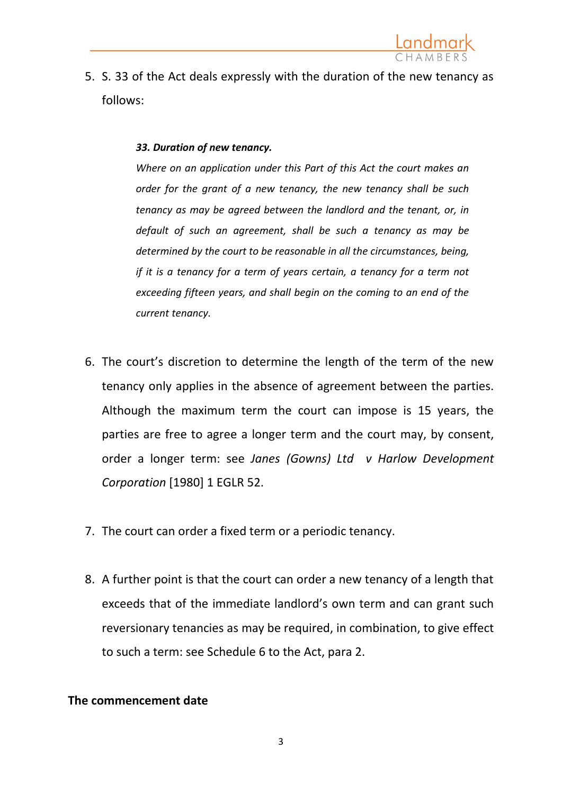

5. S. 33 of the Act deals expressly with the duration of the new tenancy as follows:

### *33. Duration of new tenancy.*

*Where on an application under this Part of this Act the court makes an order for the grant of a new tenancy, the new tenancy shall be such tenancy as may be agreed between the landlord and the tenant, or, in default of such an agreement, shall be such a tenancy as may be determined by the court to be reasonable in all the circumstances, being, if it is a tenancy for a term of years certain, a tenancy for a term not exceeding fifteen years, and shall begin on the coming to an end of the current tenancy.* 

- 6. The court's discretion to determine the length of the term of the new tenancy only applies in the absence of agreement between the parties. Although the maximum term the court can impose is 15 years, the parties are free to agree a longer term and the court may, by consent, order a longer term: see *Janes (Gowns) Ltd v Harlow Development Corporation* [1980] 1 EGLR 52.
- 7. The court can order a fixed term or a periodic tenancy.
- 8. A further point is that the court can order a new tenancy of a length that exceeds that of the immediate landlord's own term and can grant such reversionary tenancies as may be required, in combination, to give effect to such a term: see Schedule 6 to the Act, para 2.

### **The commencement date**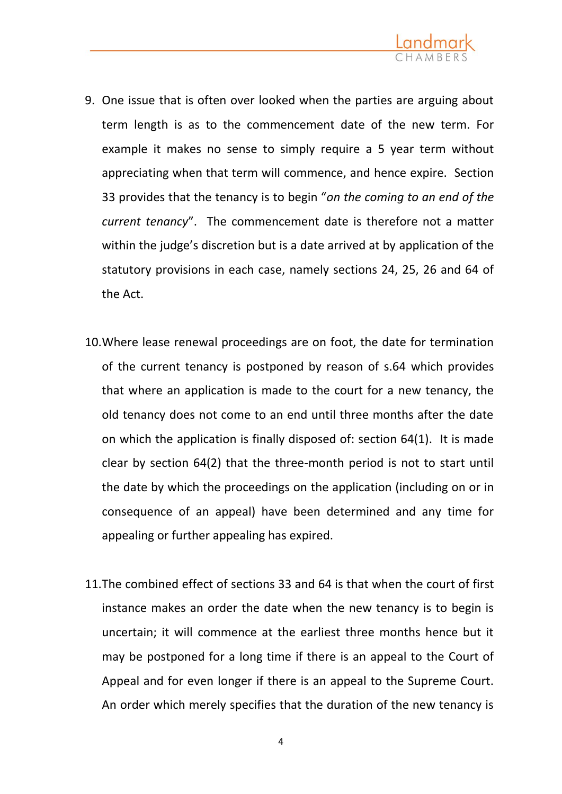

- 9. One issue that is often over looked when the parties are arguing about term length is as to the commencement date of the new term. For example it makes no sense to simply require a 5 year term without appreciating when that term will commence, and hence expire. Section 33 provides that the tenancy is to begin "*on the coming to an end of the current tenancy*". The commencement date is therefore not a matter within the judge's discretion but is a date arrived at by application of the statutory provisions in each case, namely sections 24, 25, 26 and 64 of the Act.
- 10.Where lease renewal proceedings are on foot, the date for termination of the current tenancy is postponed by reason of s.64 which provides that where an application is made to the court for a new tenancy, the old tenancy does not come to an end until three months after the date on which the application is finally disposed of: section 64(1). It is made clear by section 64(2) that the three-month period is not to start until the date by which the proceedings on the application (including on or in consequence of an appeal) have been determined and any time for appealing or further appealing has expired.
- 11.The combined effect of sections 33 and 64 is that when the court of first instance makes an order the date when the new tenancy is to begin is uncertain; it will commence at the earliest three months hence but it may be postponed for a long time if there is an appeal to the Court of Appeal and for even longer if there is an appeal to the Supreme Court. An order which merely specifies that the duration of the new tenancy is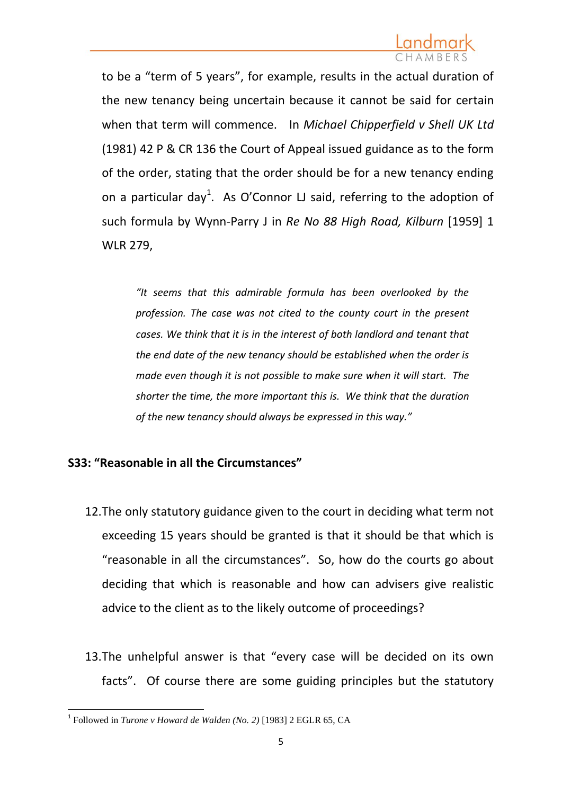to be a "term of 5 years", for example, results in the actual duration of the new tenancy being uncertain because it cannot be said for certain when that term will commence. In *Michael Chipperfield v Shell UK Ltd* (1981) 42 P & CR 136 the Court of Appeal issued guidance as to the form of the order, stating that the order should be for a new tenancy ending on a particular day<sup>1</sup>. As O'Connor LJ said, referring to the adoption of such formula by Wynn-Parry J in *Re No 88 High Road, Kilburn* [1959] 1 WLR 279,

*"It seems that this admirable formula has been overlooked by the profession. The case was not cited to the county court in the present cases. We think that it is in the interest of both landlord and tenant that the end date of the new tenancy should be established when the order is made even though it is not possible to make sure when it will start. The shorter the time, the more important this is. We think that the duration of the new tenancy should always be expressed in this way."*

### **S33: "Reasonable in all the Circumstances"**

- 12.The only statutory guidance given to the court in deciding what term not exceeding 15 years should be granted is that it should be that which is "reasonable in all the circumstances". So, how do the courts go about deciding that which is reasonable and how can advisers give realistic advice to the client as to the likely outcome of proceedings?
- 13.The unhelpful answer is that "every case will be decided on its own facts". Of course there are some guiding principles but the statutory

**<sup>.</sup>** 1 Followed in *Turone v Howard de Walden (No. 2)* [1983] 2 EGLR 65, CA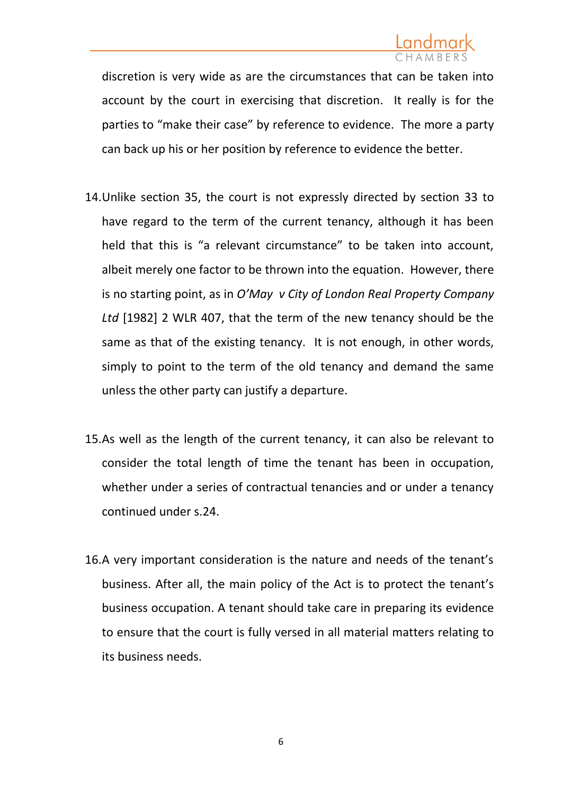discretion is very wide as are the circumstances that can be taken into account by the court in exercising that discretion. It really is for the parties to "make their case" by reference to evidence. The more a party can back up his or her position by reference to evidence the better.

- 14.Unlike section 35, the court is not expressly directed by section 33 to have regard to the term of the current tenancy, although it has been held that this is "a relevant circumstance" to be taken into account, albeit merely one factor to be thrown into the equation. However, there is no starting point, as in *O'May v City of London Real Property Company Ltd* [1982] 2 WLR 407, that the term of the new tenancy should be the same as that of the existing tenancy. It is not enough, in other words, simply to point to the term of the old tenancy and demand the same unless the other party can justify a departure.
- 15.As well as the length of the current tenancy, it can also be relevant to consider the total length of time the tenant has been in occupation, whether under a series of contractual tenancies and or under a tenancy continued under s.24.
- 16.A very important consideration is the nature and needs of the tenant's business. After all, the main policy of the Act is to protect the tenant's business occupation. A tenant should take care in preparing its evidence to ensure that the court is fully versed in all material matters relating to its business needs.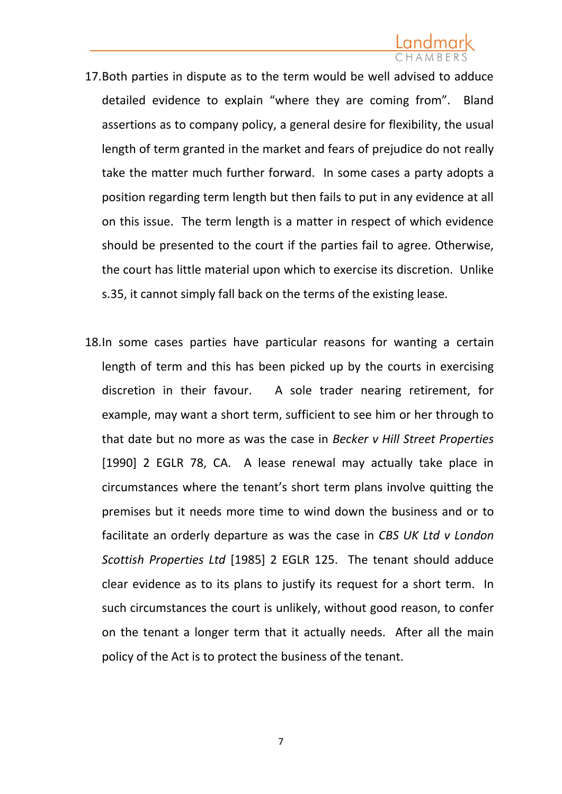# Landmark

- 17.Both parties in dispute as to the term would be well advised to adduce detailed evidence to explain "where they are coming from". Bland assertions as to company policy, a general desire for flexibility, the usual length of term granted in the market and fears of prejudice do not really take the matter much further forward. In some cases a party adopts a position regarding term length but then fails to put in any evidence at all on this issue. The term length is a matter in respect of which evidence should be presented to the court if the parties fail to agree. Otherwise, the court has little material upon which to exercise its discretion. Unlike s.35, it cannot simply fall back on the terms of the existing lease.
- 18.In some cases parties have particular reasons for wanting a certain length of term and this has been picked up by the courts in exercising discretion in their favour. A sole trader nearing retirement, for example, may want a short term, sufficient to see him or her through to that date but no more as was the case in *Becker v Hill Street Properties* [1990] 2 EGLR 78, CA. A lease renewal may actually take place in circumstances where the tenant's short term plans involve quitting the premises but it needs more time to wind down the business and or to facilitate an orderly departure as was the case in *CBS UK Ltd v London Scottish Properties Ltd* [1985] 2 EGLR 125. The tenant should adduce clear evidence as to its plans to justify its request for a short term. In such circumstances the court is unlikely, without good reason, to confer on the tenant a longer term that it actually needs. After all the main policy of the Act is to protect the business of the tenant.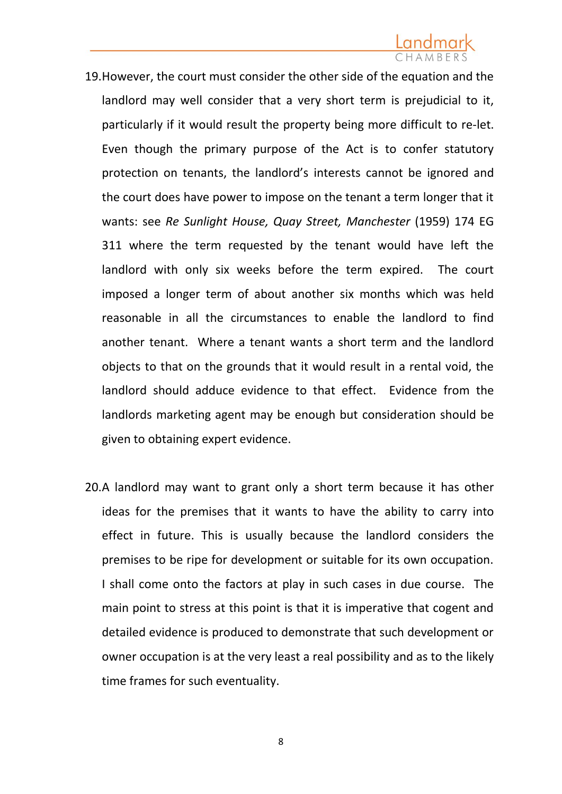## Landmark

- 19.However, the court must consider the other side of the equation and the landlord may well consider that a very short term is prejudicial to it, particularly if it would result the property being more difficult to re-let. Even though the primary purpose of the Act is to confer statutory protection on tenants, the landlord's interests cannot be ignored and the court does have power to impose on the tenant a term longer that it wants: see *Re Sunlight House, Quay Street, Manchester* (1959) 174 EG 311 where the term requested by the tenant would have left the landlord with only six weeks before the term expired. The court imposed a longer term of about another six months which was held reasonable in all the circumstances to enable the landlord to find another tenant. Where a tenant wants a short term and the landlord objects to that on the grounds that it would result in a rental void, the landlord should adduce evidence to that effect. Evidence from the landlords marketing agent may be enough but consideration should be given to obtaining expert evidence.
- 20.A landlord may want to grant only a short term because it has other ideas for the premises that it wants to have the ability to carry into effect in future. This is usually because the landlord considers the premises to be ripe for development or suitable for its own occupation. I shall come onto the factors at play in such cases in due course. The main point to stress at this point is that it is imperative that cogent and detailed evidence is produced to demonstrate that such development or owner occupation is at the very least a real possibility and as to the likely time frames for such eventuality.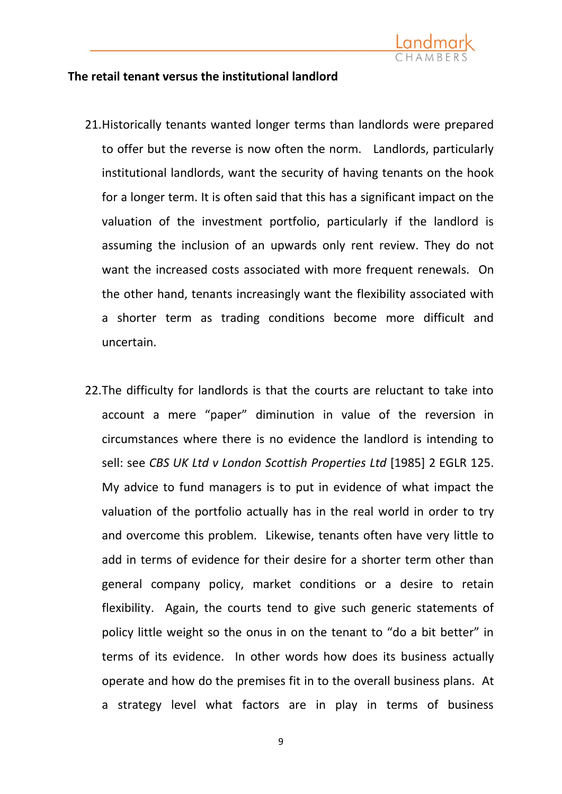

### **The retail tenant versus the institutional landlord**

- 21.Historically tenants wanted longer terms than landlords were prepared to offer but the reverse is now often the norm. Landlords, particularly institutional landlords, want the security of having tenants on the hook for a longer term. It is often said that this has a significant impact on the valuation of the investment portfolio, particularly if the landlord is assuming the inclusion of an upwards only rent review. They do not want the increased costs associated with more frequent renewals. On the other hand, tenants increasingly want the flexibility associated with a shorter term as trading conditions become more difficult and uncertain.
- 22.The difficulty for landlords is that the courts are reluctant to take into account a mere "paper" diminution in value of the reversion in circumstances where there is no evidence the landlord is intending to sell: see *CBS UK Ltd v London Scottish Properties Ltd* [1985] 2 EGLR 125. My advice to fund managers is to put in evidence of what impact the valuation of the portfolio actually has in the real world in order to try and overcome this problem. Likewise, tenants often have very little to add in terms of evidence for their desire for a shorter term other than general company policy, market conditions or a desire to retain flexibility. Again, the courts tend to give such generic statements of policy little weight so the onus in on the tenant to "do a bit better" in terms of its evidence. In other words how does its business actually operate and how do the premises fit in to the overall business plans. At a strategy level what factors are in play in terms of business

9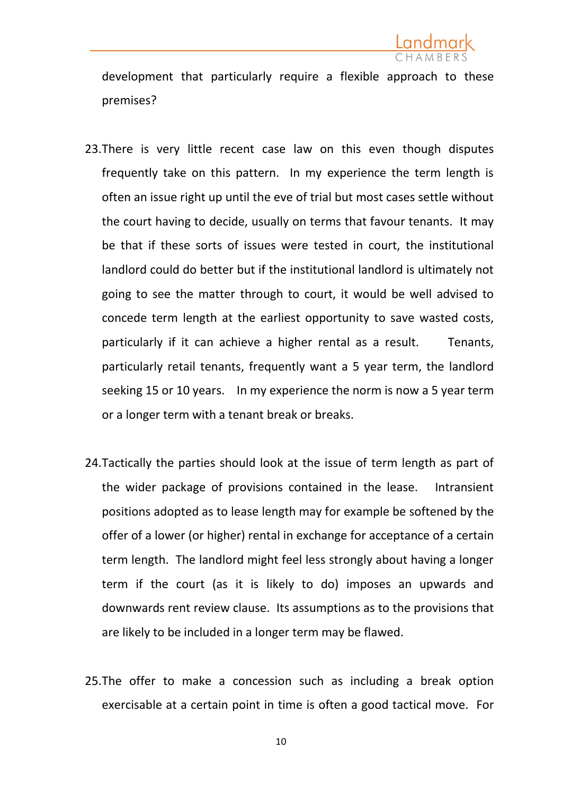

development that particularly require a flexible approach to these premises?

- 23.There is very little recent case law on this even though disputes frequently take on this pattern. In my experience the term length is often an issue right up until the eve of trial but most cases settle without the court having to decide, usually on terms that favour tenants. It may be that if these sorts of issues were tested in court, the institutional landlord could do better but if the institutional landlord is ultimately not going to see the matter through to court, it would be well advised to concede term length at the earliest opportunity to save wasted costs, particularly if it can achieve a higher rental as a result. Tenants, particularly retail tenants, frequently want a 5 year term, the landlord seeking 15 or 10 years. In my experience the norm is now a 5 year term or a longer term with a tenant break or breaks.
- 24.Tactically the parties should look at the issue of term length as part of the wider package of provisions contained in the lease. Intransient positions adopted as to lease length may for example be softened by the offer of a lower (or higher) rental in exchange for acceptance of a certain term length. The landlord might feel less strongly about having a longer term if the court (as it is likely to do) imposes an upwards and downwards rent review clause. Its assumptions as to the provisions that are likely to be included in a longer term may be flawed.
- 25.The offer to make a concession such as including a break option exercisable at a certain point in time is often a good tactical move. For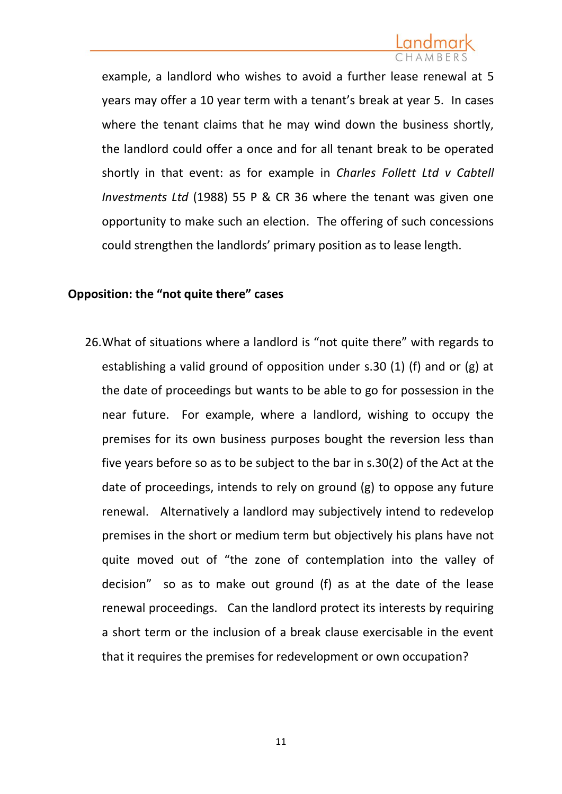example, a landlord who wishes to avoid a further lease renewal at 5 years may offer a 10 year term with a tenant's break at year 5. In cases where the tenant claims that he may wind down the business shortly, the landlord could offer a once and for all tenant break to be operated shortly in that event: as for example in *Charles Follett Ltd v Cabtell Investments Ltd* (1988) 55 P & CR 36 where the tenant was given one opportunity to make such an election. The offering of such concessions could strengthen the landlords' primary position as to lease length.

### **Opposition: the "not quite there" cases**

26.What of situations where a landlord is "not quite there" with regards to establishing a valid ground of opposition under s.30 (1) (f) and or (g) at the date of proceedings but wants to be able to go for possession in the near future. For example, where a landlord, wishing to occupy the premises for its own business purposes bought the reversion less than five years before so as to be subject to the bar in s.30(2) of the Act at the date of proceedings, intends to rely on ground (g) to oppose any future renewal. Alternatively a landlord may subjectively intend to redevelop premises in the short or medium term but objectively his plans have not quite moved out of "the zone of contemplation into the valley of decision" so as to make out ground (f) as at the date of the lease renewal proceedings. Can the landlord protect its interests by requiring a short term or the inclusion of a break clause exercisable in the event that it requires the premises for redevelopment or own occupation?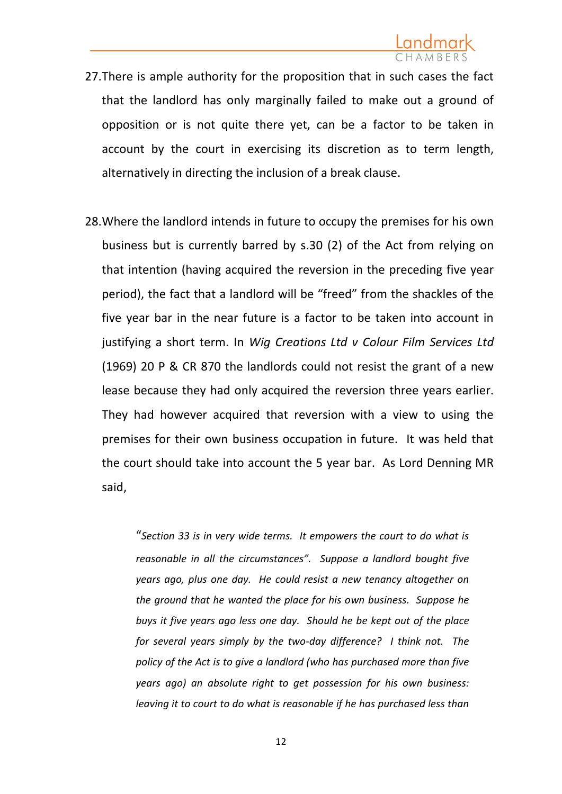- 27.There is ample authority for the proposition that in such cases the fact that the landlord has only marginally failed to make out a ground of opposition or is not quite there yet, can be a factor to be taken in account by the court in exercising its discretion as to term length, alternatively in directing the inclusion of a break clause.
- 28.Where the landlord intends in future to occupy the premises for his own business but is currently barred by s.30 (2) of the Act from relying on that intention (having acquired the reversion in the preceding five year period), the fact that a landlord will be "freed" from the shackles of the five year bar in the near future is a factor to be taken into account in justifying a short term. In *Wig Creations Ltd v Colour Film Services Ltd* (1969) 20 P & CR 870 the landlords could not resist the grant of a new lease because they had only acquired the reversion three years earlier. They had however acquired that reversion with a view to using the premises for their own business occupation in future. It was held that the court should take into account the 5 year bar. As Lord Denning MR said,

"*Section 33 is in very wide terms. It empowers the court to do what is reasonable in all the circumstances". Suppose a landlord bought five years ago, plus one day. He could resist a new tenancy altogether on the ground that he wanted the place for his own business. Suppose he buys it five years ago less one day. Should he be kept out of the place for several years simply by the two-day difference? I think not. The policy of the Act is to give a landlord (who has purchased more than five years ago) an absolute right to get possession for his own business: leaving it to court to do what is reasonable if he has purchased less than*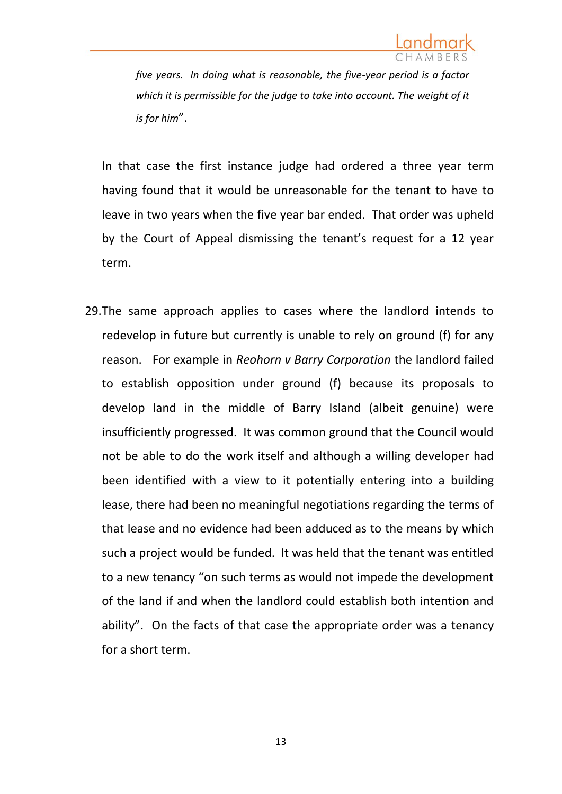

*five years. In doing what is reasonable, the five-year period is a factor which it is permissible for the judge to take into account. The weight of it is for him*".

In that case the first instance judge had ordered a three year term having found that it would be unreasonable for the tenant to have to leave in two years when the five year bar ended. That order was upheld by the Court of Appeal dismissing the tenant's request for a 12 year term.

29.The same approach applies to cases where the landlord intends to redevelop in future but currently is unable to rely on ground (f) for any reason. For example in *Reohorn v Barry Corporation* the landlord failed to establish opposition under ground (f) because its proposals to develop land in the middle of Barry Island (albeit genuine) were insufficiently progressed. It was common ground that the Council would not be able to do the work itself and although a willing developer had been identified with a view to it potentially entering into a building lease, there had been no meaningful negotiations regarding the terms of that lease and no evidence had been adduced as to the means by which such a project would be funded. It was held that the tenant was entitled to a new tenancy "on such terms as would not impede the development of the land if and when the landlord could establish both intention and ability". On the facts of that case the appropriate order was a tenancy for a short term.

13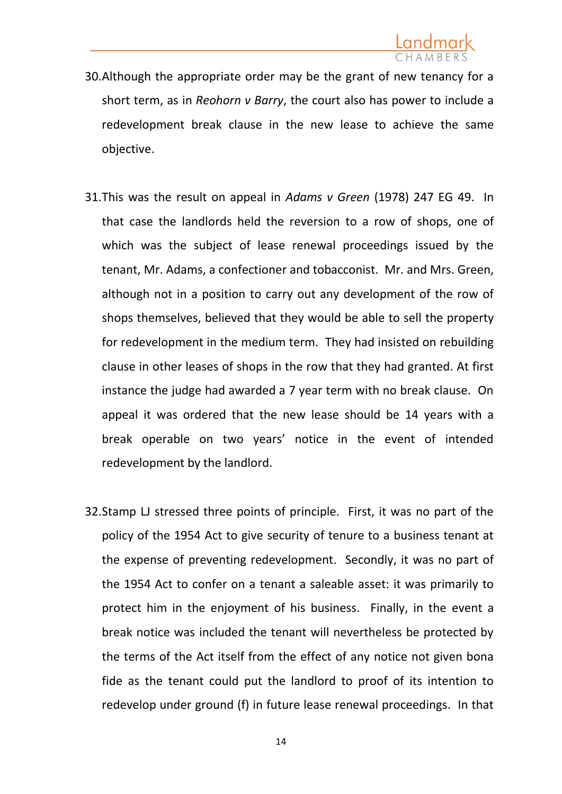- 30.Although the appropriate order may be the grant of new tenancy for a short term, as in *Reohorn v Barry*, the court also has power to include a redevelopment break clause in the new lease to achieve the same objective.
- 31.This was the result on appeal in *Adams v Green* (1978) 247 EG 49. In that case the landlords held the reversion to a row of shops, one of which was the subject of lease renewal proceedings issued by the tenant, Mr. Adams, a confectioner and tobacconist. Mr. and Mrs. Green, although not in a position to carry out any development of the row of shops themselves, believed that they would be able to sell the property for redevelopment in the medium term. They had insisted on rebuilding clause in other leases of shops in the row that they had granted. At first instance the judge had awarded a 7 year term with no break clause. On appeal it was ordered that the new lease should be 14 years with a break operable on two years' notice in the event of intended redevelopment by the landlord.
- 32.Stamp LJ stressed three points of principle. First, it was no part of the policy of the 1954 Act to give security of tenure to a business tenant at the expense of preventing redevelopment. Secondly, it was no part of the 1954 Act to confer on a tenant a saleable asset: it was primarily to protect him in the enjoyment of his business. Finally, in the event a break notice was included the tenant will nevertheless be protected by the terms of the Act itself from the effect of any notice not given bona fide as the tenant could put the landlord to proof of its intention to redevelop under ground (f) in future lease renewal proceedings. In that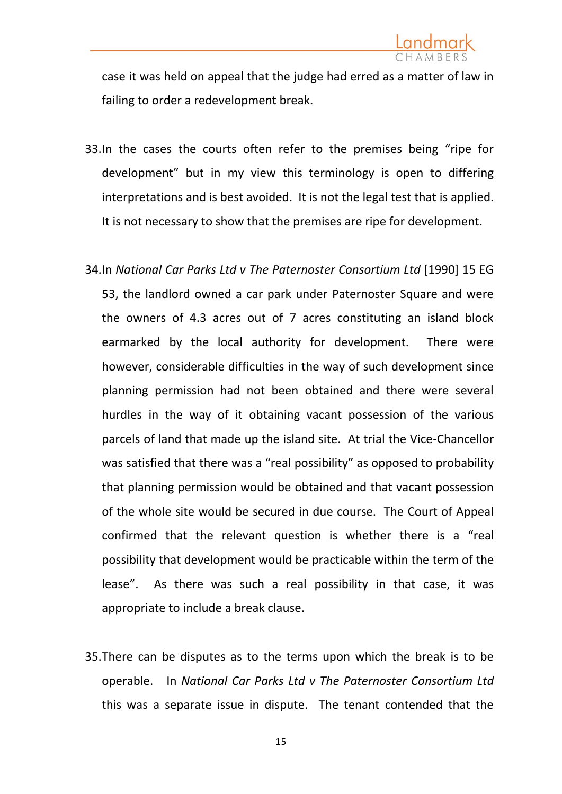case it was held on appeal that the judge had erred as a matter of law in failing to order a redevelopment break.

- 33.In the cases the courts often refer to the premises being "ripe for development" but in my view this terminology is open to differing interpretations and is best avoided. It is not the legal test that is applied. It is not necessary to show that the premises are ripe for development.
- 34.In *National Car Parks Ltd v The Paternoster Consortium Ltd* [1990] 15 EG 53, the landlord owned a car park under Paternoster Square and were the owners of 4.3 acres out of 7 acres constituting an island block earmarked by the local authority for development. There were however, considerable difficulties in the way of such development since planning permission had not been obtained and there were several hurdles in the way of it obtaining vacant possession of the various parcels of land that made up the island site. At trial the Vice-Chancellor was satisfied that there was a "real possibility" as opposed to probability that planning permission would be obtained and that vacant possession of the whole site would be secured in due course. The Court of Appeal confirmed that the relevant question is whether there is a "real possibility that development would be practicable within the term of the lease". As there was such a real possibility in that case, it was appropriate to include a break clause.
- 35.There can be disputes as to the terms upon which the break is to be operable. In *National Car Parks Ltd v The Paternoster Consortium Ltd* this was a separate issue in dispute. The tenant contended that the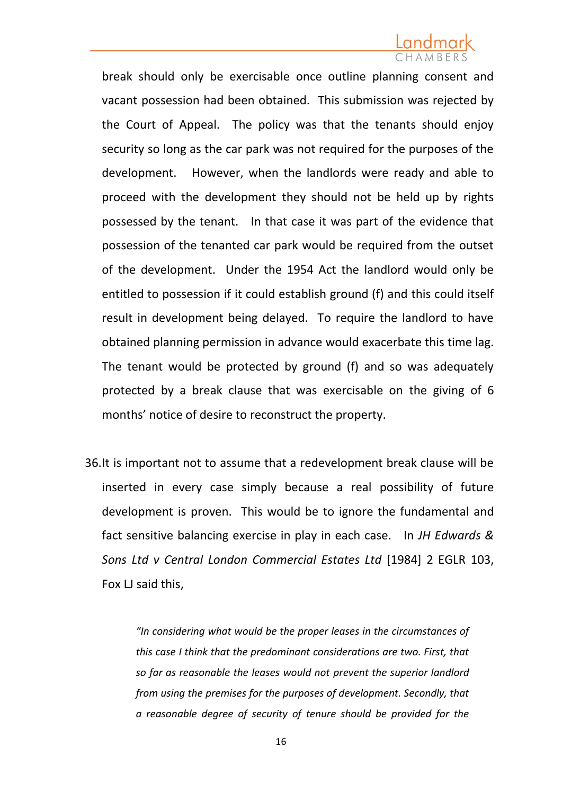## Landmark

break should only be exercisable once outline planning consent and vacant possession had been obtained. This submission was rejected by the Court of Appeal. The policy was that the tenants should enjoy security so long as the car park was not required for the purposes of the development. However, when the landlords were ready and able to proceed with the development they should not be held up by rights possessed by the tenant. In that case it was part of the evidence that possession of the tenanted car park would be required from the outset of the development. Under the 1954 Act the landlord would only be entitled to possession if it could establish ground (f) and this could itself result in development being delayed. To require the landlord to have obtained planning permission in advance would exacerbate this time lag. The tenant would be protected by ground (f) and so was adequately protected by a break clause that was exercisable on the giving of 6 months' notice of desire to reconstruct the property.

36.It is important not to assume that a redevelopment break clause will be inserted in every case simply because a real possibility of future development is proven. This would be to ignore the fundamental and fact sensitive balancing exercise in play in each case. In *JH Edwards & Sons Ltd v Central London Commercial Estates Ltd* [1984] 2 EGLR 103, Fox LJ said this,

> *"In considering what would be the proper leases in the circumstances of this case I think that the predominant considerations are two. First, that so far as reasonable the leases would not prevent the superior landlord from using the premises for the purposes of development. Secondly, that a reasonable degree of security of tenure should be provided for the*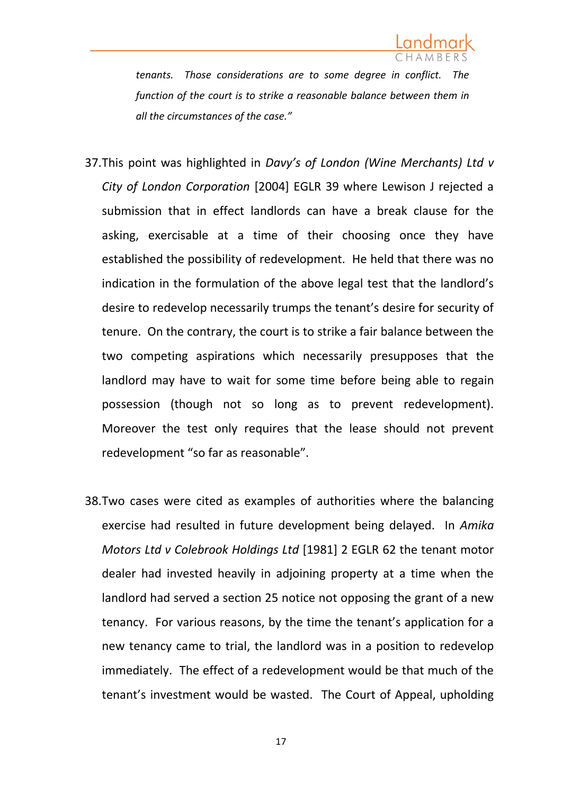

*tenants. Those considerations are to some degree in conflict. The function of the court is to strike a reasonable balance between them in all the circumstances of the case."*

- 37.This point was highlighted in *Davy's of London (Wine Merchants) Ltd v City of London Corporation* [2004] EGLR 39 where Lewison J rejected a submission that in effect landlords can have a break clause for the asking, exercisable at a time of their choosing once they have established the possibility of redevelopment. He held that there was no indication in the formulation of the above legal test that the landlord's desire to redevelop necessarily trumps the tenant's desire for security of tenure. On the contrary, the court is to strike a fair balance between the two competing aspirations which necessarily presupposes that the landlord may have to wait for some time before being able to regain possession (though not so long as to prevent redevelopment). Moreover the test only requires that the lease should not prevent redevelopment "so far as reasonable".
- 38.Two cases were cited as examples of authorities where the balancing exercise had resulted in future development being delayed. In *Amika Motors Ltd v Colebrook Holdings Ltd* [1981] 2 EGLR 62 the tenant motor dealer had invested heavily in adjoining property at a time when the landlord had served a section 25 notice not opposing the grant of a new tenancy. For various reasons, by the time the tenant's application for a new tenancy came to trial, the landlord was in a position to redevelop immediately. The effect of a redevelopment would be that much of the tenant's investment would be wasted. The Court of Appeal, upholding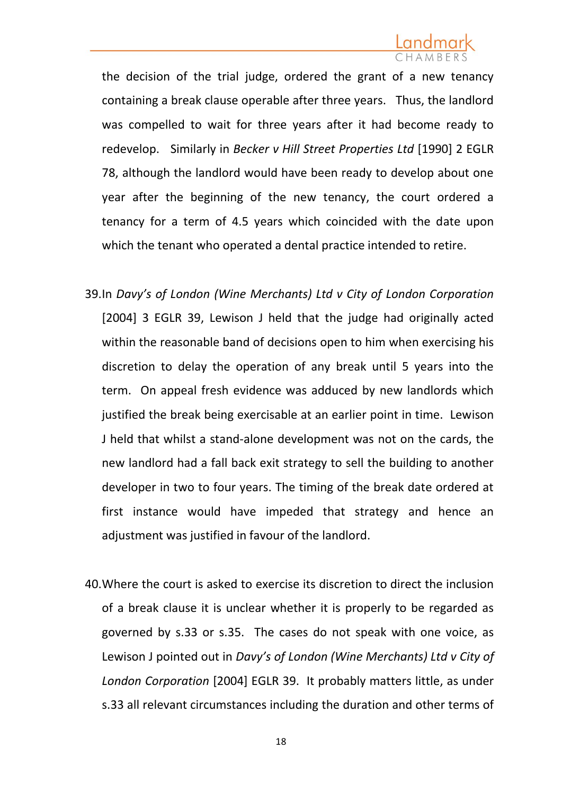the decision of the trial judge, ordered the grant of a new tenancy containing a break clause operable after three years. Thus, the landlord was compelled to wait for three years after it had become ready to redevelop. Similarly in *Becker v Hill Street Properties Ltd* [1990] 2 EGLR 78, although the landlord would have been ready to develop about one year after the beginning of the new tenancy, the court ordered a tenancy for a term of 4.5 years which coincided with the date upon which the tenant who operated a dental practice intended to retire.

- 39.In *Davy's of London (Wine Merchants) Ltd v City of London Corporation* [2004] 3 EGLR 39, Lewison J held that the judge had originally acted within the reasonable band of decisions open to him when exercising his discretion to delay the operation of any break until 5 years into the term. On appeal fresh evidence was adduced by new landlords which justified the break being exercisable at an earlier point in time. Lewison J held that whilst a stand-alone development was not on the cards, the new landlord had a fall back exit strategy to sell the building to another developer in two to four years. The timing of the break date ordered at first instance would have impeded that strategy and hence an adjustment was justified in favour of the landlord.
- 40.Where the court is asked to exercise its discretion to direct the inclusion of a break clause it is unclear whether it is properly to be regarded as governed by s.33 or s.35. The cases do not speak with one voice, as Lewison J pointed out in *Davy's of London (Wine Merchants) Ltd v City of London Corporation* [2004] EGLR 39. It probably matters little, as under s.33 all relevant circumstances including the duration and other terms of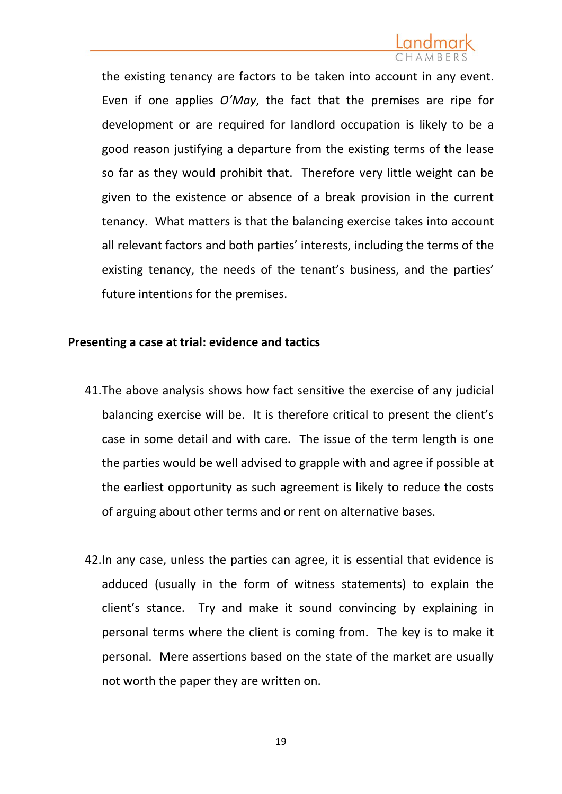the existing tenancy are factors to be taken into account in any event. Even if one applies *O'May*, the fact that the premises are ripe for development or are required for landlord occupation is likely to be a good reason justifying a departure from the existing terms of the lease so far as they would prohibit that. Therefore very little weight can be given to the existence or absence of a break provision in the current tenancy. What matters is that the balancing exercise takes into account all relevant factors and both parties' interests, including the terms of the existing tenancy, the needs of the tenant's business, and the parties' future intentions for the premises.

### **Presenting a case at trial: evidence and tactics**

- 41.The above analysis shows how fact sensitive the exercise of any judicial balancing exercise will be. It is therefore critical to present the client's case in some detail and with care. The issue of the term length is one the parties would be well advised to grapple with and agree if possible at the earliest opportunity as such agreement is likely to reduce the costs of arguing about other terms and or rent on alternative bases.
- 42.In any case, unless the parties can agree, it is essential that evidence is adduced (usually in the form of witness statements) to explain the client's stance. Try and make it sound convincing by explaining in personal terms where the client is coming from. The key is to make it personal. Mere assertions based on the state of the market are usually not worth the paper they are written on.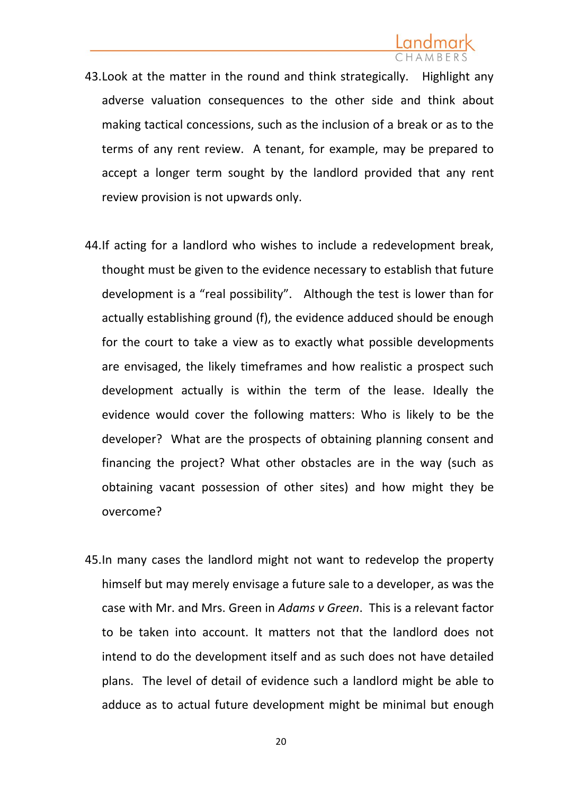- 43.Look at the matter in the round and think strategically. Highlight any adverse valuation consequences to the other side and think about making tactical concessions, such as the inclusion of a break or as to the terms of any rent review. A tenant, for example, may be prepared to accept a longer term sought by the landlord provided that any rent review provision is not upwards only.
- 44.If acting for a landlord who wishes to include a redevelopment break, thought must be given to the evidence necessary to establish that future development is a "real possibility". Although the test is lower than for actually establishing ground (f), the evidence adduced should be enough for the court to take a view as to exactly what possible developments are envisaged, the likely timeframes and how realistic a prospect such development actually is within the term of the lease. Ideally the evidence would cover the following matters: Who is likely to be the developer? What are the prospects of obtaining planning consent and financing the project? What other obstacles are in the way (such as obtaining vacant possession of other sites) and how might they be overcome?
- 45.In many cases the landlord might not want to redevelop the property himself but may merely envisage a future sale to a developer, as was the case with Mr. and Mrs. Green in *Adams v Green*. This is a relevant factor to be taken into account. It matters not that the landlord does not intend to do the development itself and as such does not have detailed plans. The level of detail of evidence such a landlord might be able to adduce as to actual future development might be minimal but enough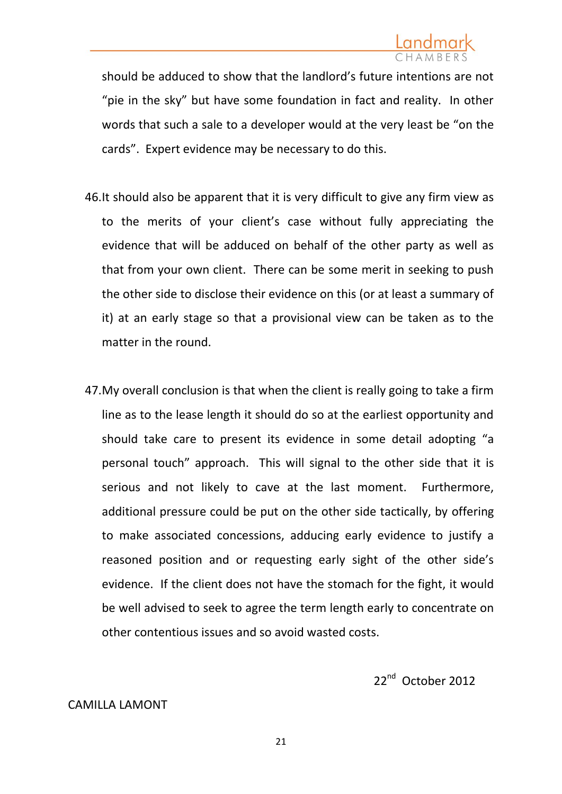should be adduced to show that the landlord's future intentions are not "pie in the sky" but have some foundation in fact and reality. In other words that such a sale to a developer would at the very least be "on the cards". Expert evidence may be necessary to do this.

- 46.It should also be apparent that it is very difficult to give any firm view as to the merits of your client's case without fully appreciating the evidence that will be adduced on behalf of the other party as well as that from your own client. There can be some merit in seeking to push the other side to disclose their evidence on this (or at least a summary of it) at an early stage so that a provisional view can be taken as to the matter in the round.
- 47.My overall conclusion is that when the client is really going to take a firm line as to the lease length it should do so at the earliest opportunity and should take care to present its evidence in some detail adopting "a personal touch" approach. This will signal to the other side that it is serious and not likely to cave at the last moment. Furthermore, additional pressure could be put on the other side tactically, by offering to make associated concessions, adducing early evidence to justify a reasoned position and or requesting early sight of the other side's evidence. If the client does not have the stomach for the fight, it would be well advised to seek to agree the term length early to concentrate on other contentious issues and so avoid wasted costs.

22<sup>nd</sup> October 2012

### CAMILLA LAMONT

21